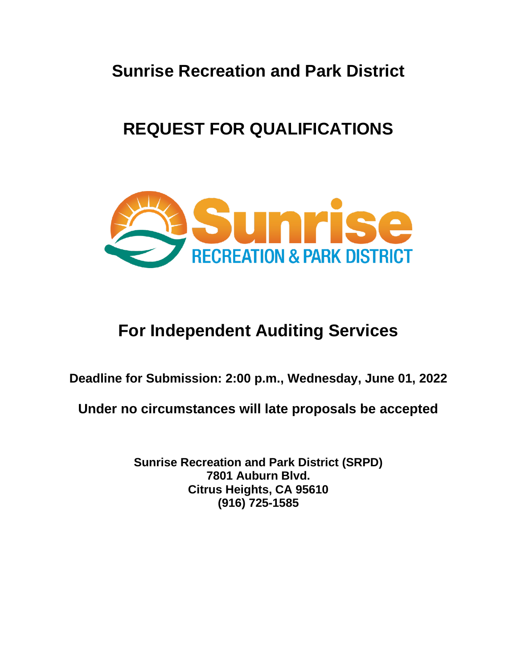**Sunrise Recreation and Park District**

# **REQUEST FOR QUALIFICATIONS**



# **For Independent Auditing Services**

**Deadline for Submission: 2:00 p.m., Wednesday, June 01, 2022**

**Under no circumstances will late proposals be accepted**

**Sunrise Recreation and Park District (SRPD) 7801 Auburn Blvd. Citrus Heights, CA 95610 (916) 725-1585**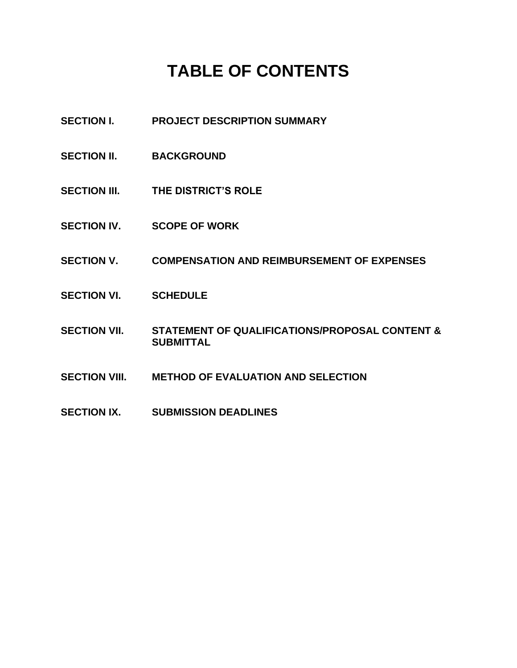# **TABLE OF CONTENTS**

- **SECTION I. PROJECT DESCRIPTION SUMMARY**
- SECTION II. BACKGROUND
- **SECTION III. THE DISTRICT'S ROLE**
- **SECTION IV. SCOPE OF WORK**
- **SECTION V. COMPENSATION AND REIMBURSEMENT OF EXPENSES**
- **SECTION VI. SCHEDULE**
- **SECTION VII. STATEMENT OF QUALIFICATIONS/PROPOSAL CONTENT & SUBMITTAL**
- **SECTION VIII. METHOD OF EVALUATION AND SELECTION**
- **SECTION IX. SUBMISSION DEADLINES**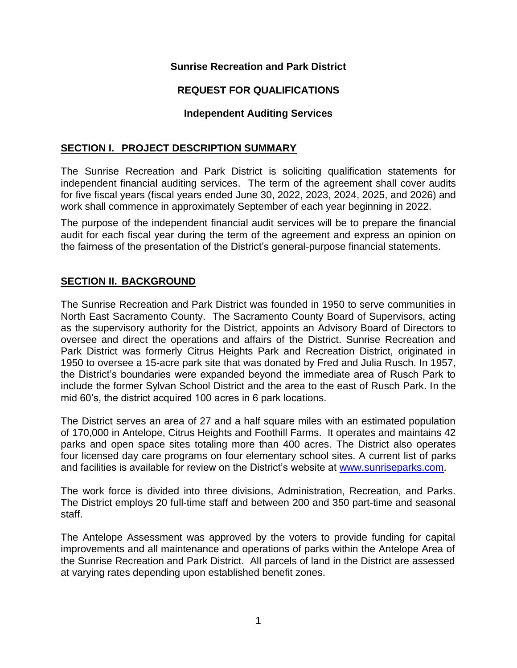# **Sunrise Recreation and Park District**

# **REQUEST FOR QUALIFICATIONS**

## **Independent Auditing Services**

## **SECTION I. PROJECT DESCRIPTION SUMMARY**

The Sunrise Recreation and Park District is soliciting qualification statements for independent financial auditing services. The term of the agreement shall cover audits for five fiscal years (fiscal years ended June 30, 2022, 2023, 2024, 2025, and 2026) and work shall commence in approximately September of each year beginning in 2022.

The purpose of the independent financial audit services will be to prepare the financial audit for each fiscal year during the term of the agreement and express an opinion on the fairness of the presentation of the District's general-purpose financial statements.

# **SECTION II. BACKGROUND**

The Sunrise Recreation and Park District was founded in 1950 to serve communities in North East Sacramento County. The Sacramento County Board of Supervisors, acting as the supervisory authority for the District, appoints an Advisory Board of Directors to oversee and direct the operations and affairs of the District. Sunrise Recreation and Park District was formerly Citrus Heights Park and Recreation District, originated in 1950 to oversee a 15-acre park site that was donated by Fred and Julia Rusch. In 1957, the District's boundaries were expanded beyond the immediate area of Rusch Park to include the former Sylvan School District and the area to the east of Rusch Park. In the mid 60's, the district acquired 100 acres in 6 park locations.

The District serves an area of 27 and a half square miles with an estimated population of 170,000 in Antelope, Citrus Heights and Foothill Farms. It operates and maintains 42 parks and open space sites totaling more than 400 acres. The District also operates four licensed day care programs on four elementary school sites. A current list of parks and facilities is available for review on the District's website at [www.sunriseparks.com.](http://www.sunriseparks.com/)

The work force is divided into three divisions, Administration, Recreation, and Parks. The District employs 20 full-time staff and between 200 and 350 part-time and seasonal staff.

The Antelope Assessment was approved by the voters to provide funding for capital improvements and all maintenance and operations of parks within the Antelope Area of the Sunrise Recreation and Park District. All parcels of land in the District are assessed at varying rates depending upon established benefit zones.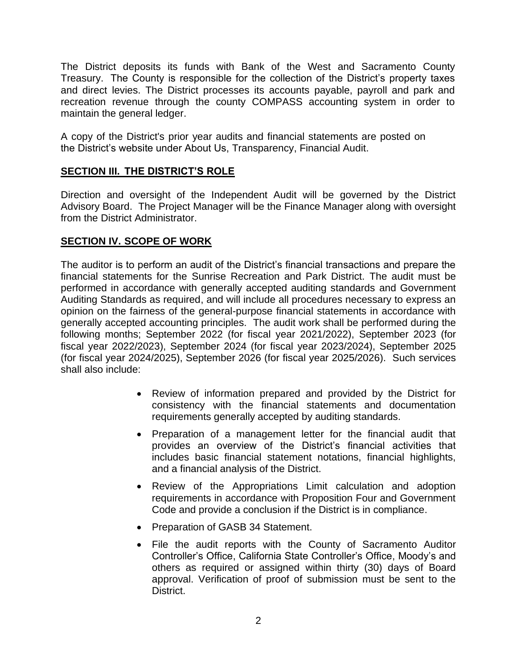The District deposits its funds with Bank of the West and Sacramento County Treasury. The County is responsible for the collection of the District's property taxes and direct levies. The District processes its accounts payable, payroll and park and recreation revenue through the county COMPASS accounting system in order to maintain the general ledger.

A copy of the District's prior year audits and financial statements are posted on the District's website under About Us, Transparency, Financial Audit.

# **SECTION III. THE DISTRICT'S ROLE**

Direction and oversight of the Independent Audit will be governed by the District Advisory Board. The Project Manager will be the Finance Manager along with oversight from the District Administrator.

# **SECTION IV. SCOPE OF WORK**

The auditor is to perform an audit of the District's financial transactions and prepare the financial statements for the Sunrise Recreation and Park District. The audit must be performed in accordance with generally accepted auditing standards and Government Auditing Standards as required, and will include all procedures necessary to express an opinion on the fairness of the general-purpose financial statements in accordance with generally accepted accounting principles. The audit work shall be performed during the following months; September 2022 (for fiscal year 2021/2022), September 2023 (for fiscal year 2022/2023), September 2024 (for fiscal year 2023/2024), September 2025 (for fiscal year 2024/2025), September 2026 (for fiscal year 2025/2026). Such services shall also include:

- Review of information prepared and provided by the District for consistency with the financial statements and documentation requirements generally accepted by auditing standards.
- Preparation of a management letter for the financial audit that provides an overview of the District's financial activities that includes basic financial statement notations, financial highlights, and a financial analysis of the District.
- Review of the Appropriations Limit calculation and adoption requirements in accordance with Proposition Four and Government Code and provide a conclusion if the District is in compliance.
- Preparation of GASB 34 Statement.
- File the audit reports with the County of Sacramento Auditor Controller's Office, California State Controller's Office, Moody's and others as required or assigned within thirty (30) days of Board approval. Verification of proof of submission must be sent to the District.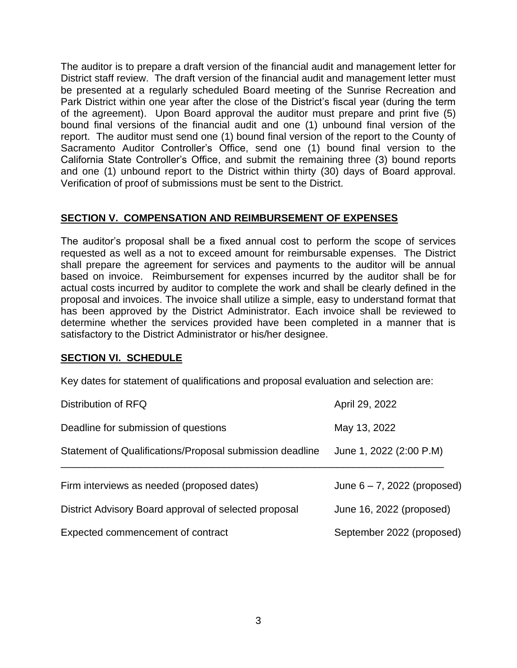The auditor is to prepare a draft version of the financial audit and management letter for District staff review. The draft version of the financial audit and management letter must be presented at a regularly scheduled Board meeting of the Sunrise Recreation and Park District within one year after the close of the District's fiscal year (during the term of the agreement). Upon Board approval the auditor must prepare and print five (5) bound final versions of the financial audit and one (1) unbound final version of the report. The auditor must send one (1) bound final version of the report to the County of Sacramento Auditor Controller's Office, send one (1) bound final version to the California State Controller's Office, and submit the remaining three (3) bound reports and one (1) unbound report to the District within thirty (30) days of Board approval. Verification of proof of submissions must be sent to the District.

# **SECTION V. COMPENSATION AND REIMBURSEMENT OF EXPENSES**

The auditor's proposal shall be a fixed annual cost to perform the scope of services requested as well as a not to exceed amount for reimbursable expenses. The District shall prepare the agreement for services and payments to the auditor will be annual based on invoice. Reimbursement for expenses incurred by the auditor shall be for actual costs incurred by auditor to complete the work and shall be clearly defined in the proposal and invoices. The invoice shall utilize a simple, easy to understand format that has been approved by the District Administrator. Each invoice shall be reviewed to determine whether the services provided have been completed in a manner that is satisfactory to the District Administrator or his/her designee.

## **SECTION VI. SCHEDULE**

Key dates for statement of qualifications and proposal evaluation and selection are:

| Distribution of RFQ                                      | April 29, 2022                 |
|----------------------------------------------------------|--------------------------------|
| Deadline for submission of questions                     | May 13, 2022                   |
| Statement of Qualifications/Proposal submission deadline | June 1, 2022 (2:00 P.M)        |
| Firm interviews as needed (proposed dates)               | June $6 - 7$ , 2022 (proposed) |
| District Advisory Board approval of selected proposal    | June 16, 2022 (proposed)       |
| Expected commencement of contract                        | September 2022 (proposed)      |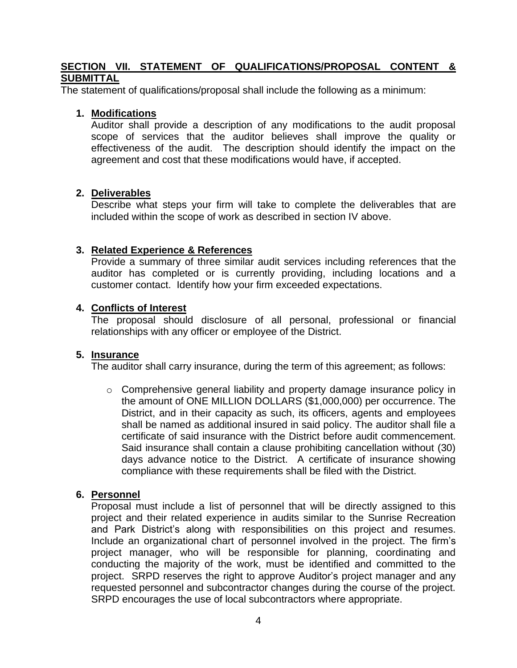## **SECTION VII. STATEMENT OF QUALIFICATIONS/PROPOSAL CONTENT & SUBMITTAL**

The statement of qualifications/proposal shall include the following as a minimum:

#### **1. Modifications**

Auditor shall provide a description of any modifications to the audit proposal scope of services that the auditor believes shall improve the quality or effectiveness of the audit. The description should identify the impact on the agreement and cost that these modifications would have, if accepted.

#### **2. Deliverables**

Describe what steps your firm will take to complete the deliverables that are included within the scope of work as described in section IV above.

#### **3. Related Experience & References**

Provide a summary of three similar audit services including references that the auditor has completed or is currently providing, including locations and a customer contact. Identify how your firm exceeded expectations.

## **4. Conflicts of Interest**

The proposal should disclosure of all personal, professional or financial relationships with any officer or employee of the District.

#### **5. Insurance**

The auditor shall carry insurance, during the term of this agreement; as follows:

o Comprehensive general liability and property damage insurance policy in the amount of ONE MILLION DOLLARS (\$1,000,000) per occurrence. The District, and in their capacity as such, its officers, agents and employees shall be named as additional insured in said policy. The auditor shall file a certificate of said insurance with the District before audit commencement. Said insurance shall contain a clause prohibiting cancellation without (30) days advance notice to the District. A certificate of insurance showing compliance with these requirements shall be filed with the District.

## **6. Personnel**

Proposal must include a list of personnel that will be directly assigned to this project and their related experience in audits similar to the Sunrise Recreation and Park District's along with responsibilities on this project and resumes. Include an organizational chart of personnel involved in the project. The firm's project manager, who will be responsible for planning, coordinating and conducting the majority of the work, must be identified and committed to the project. SRPD reserves the right to approve Auditor's project manager and any requested personnel and subcontractor changes during the course of the project. SRPD encourages the use of local subcontractors where appropriate.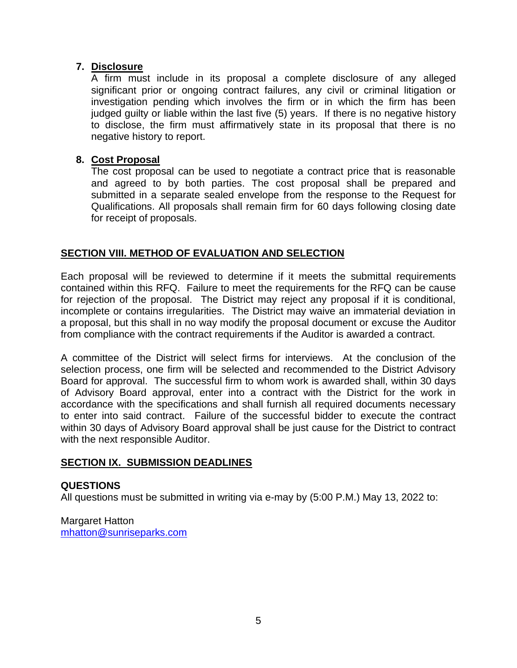# **7. Disclosure**

A firm must include in its proposal a complete disclosure of any alleged significant prior or ongoing contract failures, any civil or criminal litigation or investigation pending which involves the firm or in which the firm has been judged guilty or liable within the last five (5) years. If there is no negative history to disclose, the firm must affirmatively state in its proposal that there is no negative history to report.

# **8. Cost Proposal**

The cost proposal can be used to negotiate a contract price that is reasonable and agreed to by both parties. The cost proposal shall be prepared and submitted in a separate sealed envelope from the response to the Request for Qualifications. All proposals shall remain firm for 60 days following closing date for receipt of proposals.

# **SECTION VIII. METHOD OF EVALUATION AND SELECTION**

Each proposal will be reviewed to determine if it meets the submittal requirements contained within this RFQ. Failure to meet the requirements for the RFQ can be cause for rejection of the proposal. The District may reject any proposal if it is conditional, incomplete or contains irregularities. The District may waive an immaterial deviation in a proposal, but this shall in no way modify the proposal document or excuse the Auditor from compliance with the contract requirements if the Auditor is awarded a contract.

A committee of the District will select firms for interviews. At the conclusion of the selection process, one firm will be selected and recommended to the District Advisory Board for approval. The successful firm to whom work is awarded shall, within 30 days of Advisory Board approval, enter into a contract with the District for the work in accordance with the specifications and shall furnish all required documents necessary to enter into said contract. Failure of the successful bidder to execute the contract within 30 days of Advisory Board approval shall be just cause for the District to contract with the next responsible Auditor.

## **SECTION IX. SUBMISSION DEADLINES**

## **QUESTIONS**

All questions must be submitted in writing via e-may by (5:00 P.M.) May 13, 2022 to:

Margaret Hatton [mhatton@sunriseparks.com](mailto:mhatton@sunriseparks.com)